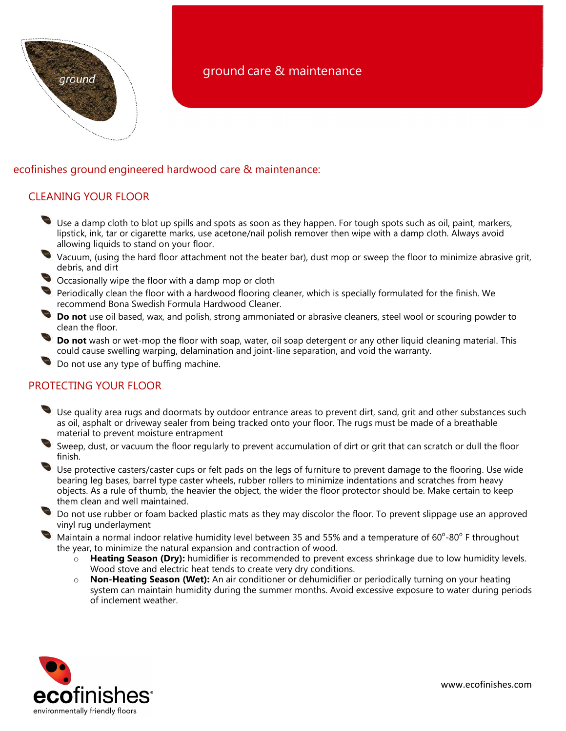

# ground care & maintenance

### ecofinishes ground engineered hardwood care & maintenance:

#### CLEANING YOUR FLOOR

- Use a damp cloth to blot up spills and spots as soon as they happen. For tough spots such as oil, paint, markers, lipstick, ink, tar or cigarette marks, use acetone/nail polish remover then wipe with a damp cloth. Always avoid allowing liquids to stand on your floor.
- Vacuum, (using the hard floor attachment not the beater bar), dust mop or sweep the floor to minimize abrasive grit, debris, and dirt
- Occasionally wipe the floor with a damp mop or cloth
- Periodically clean the floor with a hardwood flooring cleaner, which is specially formulated for the finish. We recommend Bona Swedish Formula Hardwood Cleaner.
- Do not use oil based, wax, and polish, strong ammoniated or abrasive cleaners, steel wool or scouring powder to clean the floor.
- Do not wash or wet-mop the floor with soap, water, oil soap detergent or any other liquid cleaning material. This could cause swelling warping, delamination and joint-line separation, and void the warranty.
- Do not use any type of buffing machine.

## PROTECTING YOUR FLOOR

- Use quality area rugs and doormats by outdoor entrance areas to prevent dirt, sand, grit and other substances such as oil, asphalt or driveway sealer from being tracked onto your floor. The rugs must be made of a breathable material to prevent moisture entrapment
- Sweep, dust, or vacuum the floor regularly to prevent accumulation of dirt or grit that can scratch or dull the floor finish.
- Use protective casters/caster cups or felt pads on the legs of furniture to prevent damage to the flooring. Use wide bearing leg bases, barrel type caster wheels, rubber rollers to minimize indentations and scratches from heavy objects. As a rule of thumb, the heavier the object, the wider the floor protector should be. Make certain to keep them clean and well maintained.
- Do not use rubber or foam backed plastic mats as they may discolor the floor. To prevent slippage use an approved vinyl rug underlayment
- Maintain a normal indoor relative humidity level between 35 and 55% and a temperature of  $60^{\circ}$ -80° F throughout the year, to minimize the natural expansion and contraction of wood.
	- $\circ$  Heating Season (Dry): humidifier is recommended to prevent excess shrinkage due to low humidity levels. Wood stove and electric heat tends to create very dry conditions.
	- o Non-Heating Season (Wet): An air conditioner or dehumidifier or periodically turning on your heating system can maintain humidity during the summer months. Avoid excessive exposure to water during periods of inclement weather.